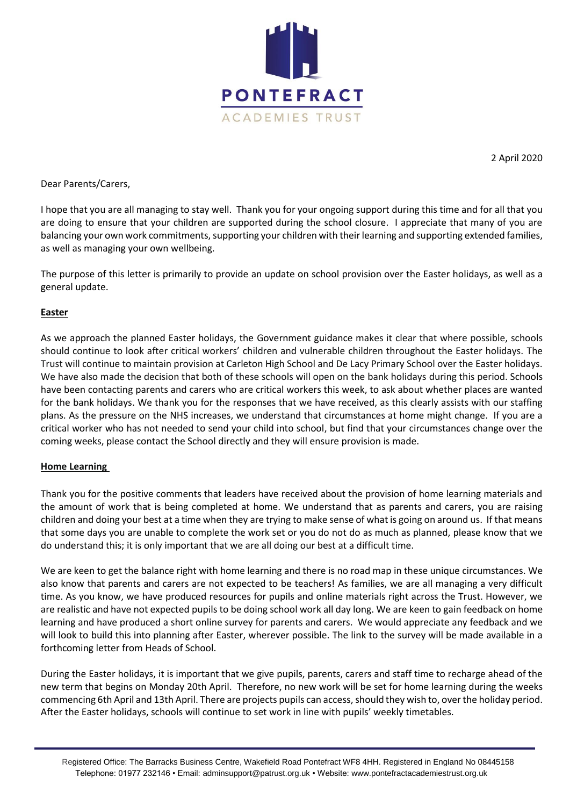

2 April 2020

Dear Parents/Carers,

I hope that you are all managing to stay well. Thank you for your ongoing support during this time and for all that you are doing to ensure that your children are supported during the school closure. I appreciate that many of you are balancing your own work commitments, supporting your children with their learning and supporting extended families, as well as managing your own wellbeing.

The purpose of this letter is primarily to provide an update on school provision over the Easter holidays, as well as a general update.

## **Easter**

As we approach the planned Easter holidays, the Government guidance makes it clear that where possible, schools should continue to look after critical workers' children and vulnerable children throughout the Easter holidays. The Trust will continue to maintain provision at Carleton High School and De Lacy Primary School over the Easter holidays. We have also made the decision that both of these schools will open on the bank holidays during this period. Schools have been contacting parents and carers who are critical workers this week, to ask about whether places are wanted for the bank holidays. We thank you for the responses that we have received, as this clearly assists with our staffing plans. As the pressure on the NHS increases, we understand that circumstances at home might change. If you are a critical worker who has not needed to send your child into school, but find that your circumstances change over the coming weeks, please contact the School directly and they will ensure provision is made.

## **Home Learning**

Thank you for the positive comments that leaders have received about the provision of home learning materials and the amount of work that is being completed at home. We understand that as parents and carers, you are raising children and doing your best at a time when they are trying to make sense of what is going on around us. If that means that some days you are unable to complete the work set or you do not do as much as planned, please know that we do understand this; it is only important that we are all doing our best at a difficult time.

We are keen to get the balance right with home learning and there is no road map in these unique circumstances. We also know that parents and carers are not expected to be teachers! As families, we are all managing a very difficult time. As you know, we have produced resources for pupils and online materials right across the Trust. However, we are realistic and have not expected pupils to be doing school work all day long. We are keen to gain feedback on home learning and have produced a short online survey for parents and carers. We would appreciate any feedback and we will look to build this into planning after Easter, wherever possible. The link to the survey will be made available in a forthcoming letter from Heads of School.

During the Easter holidays, it is important that we give pupils, parents, carers and staff time to recharge ahead of the new term that begins on Monday 20th April. Therefore, no new work will be set for home learning during the weeks commencing 6th April and 13th April. There are projects pupils can access, should they wish to, over the holiday period. After the Easter holidays, schools will continue to set work in line with pupils' weekly timetables.